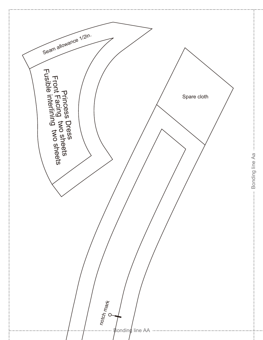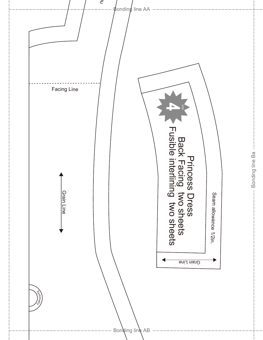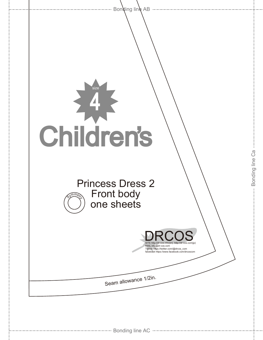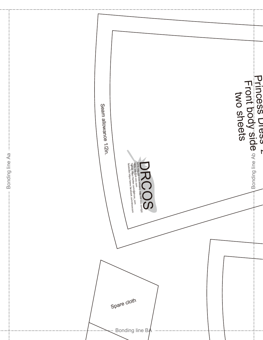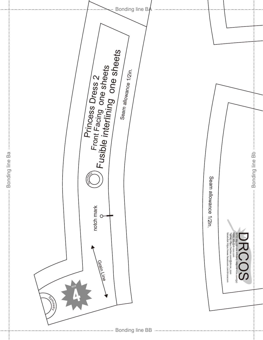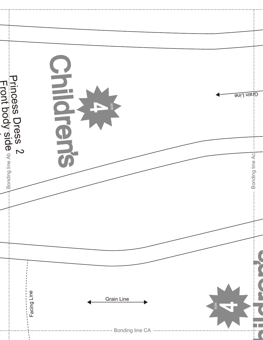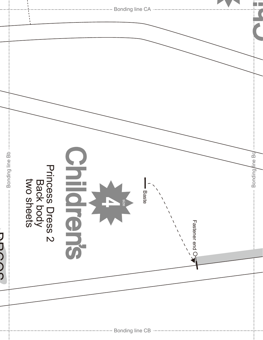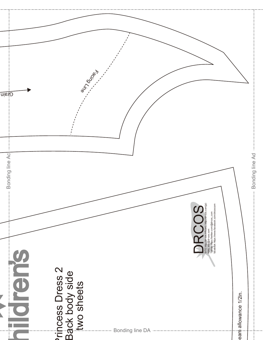